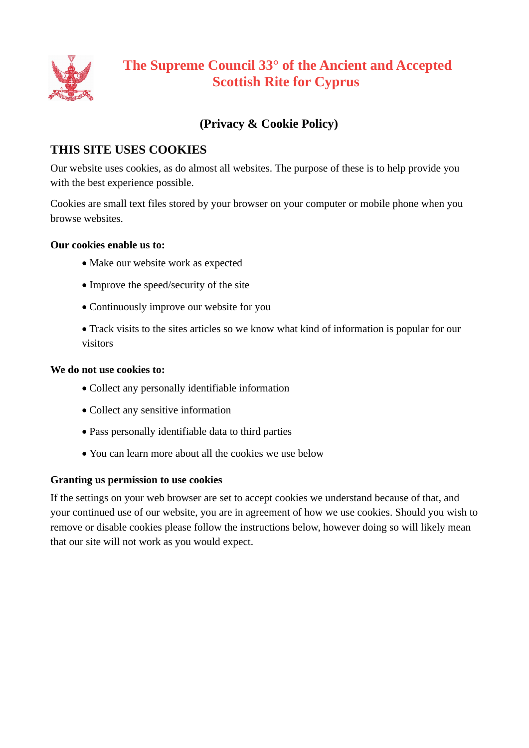

# **The Supreme Council 33° of the Ancient and Accepted Scottish Rite for Cyprus**

## **(Privacy & Cookie Policy)**

## **THIS SITE USES COOKIES**

Our website uses cookies, as do almost all websites. The purpose of these is to help provide you with the best experience possible.

Cookies are small text files stored by your browser on your computer or mobile phone when you browse websites.

## **Our cookies enable us to:**

- Make our website work as expected
- Improve the speed/security of the site
- Continuously improve our website for you

 Track visits to the sites articles so we know what kind of information is popular for our visitors

### **We do not use cookies to:**

- Collect any personally identifiable information
- Collect any sensitive information
- Pass personally identifiable data to third parties
- You can learn more about all the cookies we use below

## **Granting us permission to use cookies**

If the settings on your web browser are set to accept cookies we understand because of that, and your continued use of our website, you are in agreement of how we use cookies. Should you wish to remove or disable cookies please follow the instructions below, however doing so will likely mean that our site will not work as you would expect.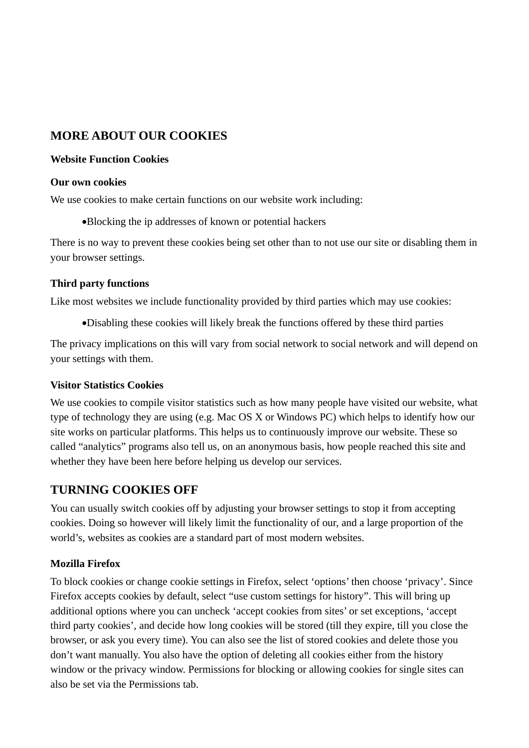## **MORE ABOUT OUR COOKIES**

### **Website Function Cookies**

#### **Our own cookies**

We use cookies to make certain functions on our website work including:

Blocking the ip addresses of known or potential hackers

There is no way to prevent these cookies being set other than to not use our site or disabling them in your browser settings.

## **Third party functions**

Like most websites we include functionality provided by third parties which may use cookies:

Disabling these cookies will likely break the functions offered by these third parties

The privacy implications on this will vary from social network to social network and will depend on your settings with them.

## **Visitor Statistics Cookies**

We use cookies to compile visitor statistics such as how many people have visited our website, what type of technology they are using (e.g. Mac OS X or Windows PC) which helps to identify how our site works on particular platforms. This helps us to continuously improve our website. These so called "analytics" programs also tell us, on an anonymous basis, how people reached this site and whether they have been here before helping us develop our services.

## **TURNING COOKIES OFF**

You can usually switch cookies off by adjusting your browser settings to stop it from accepting cookies. Doing so however will likely limit the functionality of our, and a large proportion of the world's, websites as cookies are a standard part of most modern websites.

## **Mozilla Firefox**

To block cookies or change cookie settings in Firefox, select 'options' then choose 'privacy'. Since Firefox accepts cookies by default, select "use custom settings for history". This will bring up additional options where you can uncheck 'accept cookies from sites' or set exceptions, 'accept third party cookies', and decide how long cookies will be stored (till they expire, till you close the browser, or ask you every time). You can also see the list of stored cookies and delete those you don't want manually. You also have the option of deleting all cookies either from the history window or the privacy window. Permissions for blocking or allowing cookies for single sites can also be set via the Permissions tab.